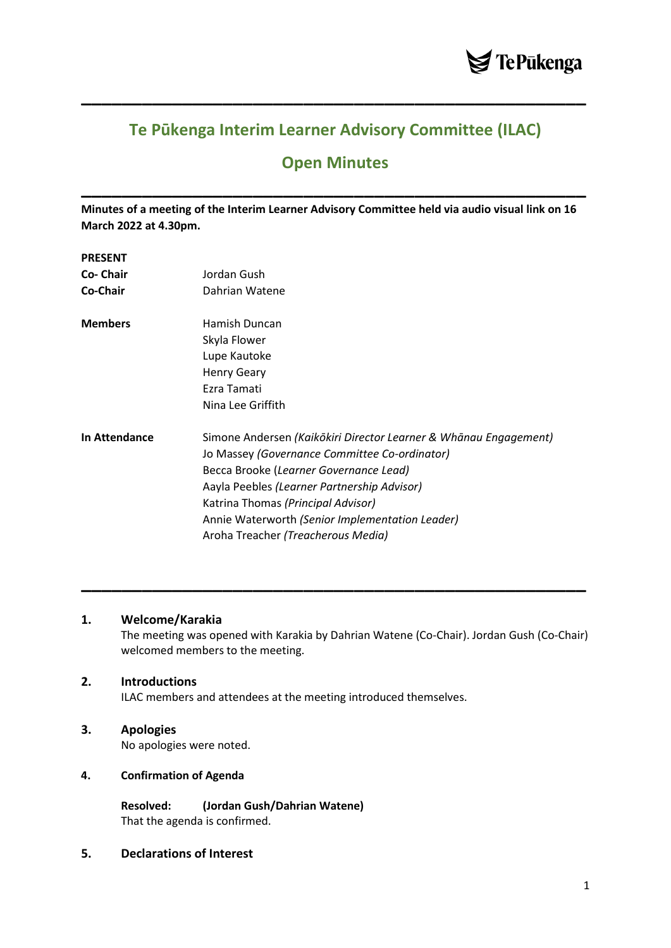

# **Te Pūkenga Interim Learner Advisory Committee (ILAC)**

**\_\_\_\_\_\_\_\_\_\_\_\_\_\_\_\_\_\_\_\_\_\_\_\_\_\_\_\_\_\_\_\_\_\_\_\_\_\_\_\_\_\_\_\_\_\_\_\_\_\_**

# **Open Minutes**

**\_\_\_\_\_\_\_\_\_\_\_\_\_\_\_\_\_\_\_\_\_\_\_\_\_\_\_\_\_\_\_\_\_\_\_\_\_\_\_\_\_\_\_\_\_\_\_\_\_\_**

**Minutes of a meeting of the Interim Learner Advisory Committee held via audio visual link on 16 March 2022 at 4.30pm.**

### **PRESENT**

| <b>Co- Chair</b><br>Co-Chair | Jordan Gush<br>Dahrian Watene                                    |
|------------------------------|------------------------------------------------------------------|
| <b>Members</b>               | Hamish Duncan<br>Skyla Flower                                    |
|                              | Lupe Kautoke<br><b>Henry Geary</b>                               |
|                              | Ezra Tamati<br>Nina Lee Griffith                                 |
|                              |                                                                  |
| <b>In Attendance</b>         | Simone Andersen (Kaikōkiri Director Learner & Whānau Engagement) |
|                              | Jo Massey (Governance Committee Co-ordinator)                    |
|                              | Becca Brooke (Learner Governance Lead)                           |
|                              | Aayla Peebles (Learner Partnership Advisor)                      |
|                              | Katrina Thomas (Principal Advisor)                               |
|                              | Annie Waterworth (Senior Implementation Leader)                  |
|                              | Aroha Treacher (Treacherous Media)                               |

# **1. Welcome/Karakia**

The meeting was opened with Karakia by Dahrian Watene (Co-Chair). Jordan Gush (Co-Chair) welcomed members to the meeting.

**\_\_\_\_\_\_\_\_\_\_\_\_\_\_\_\_\_\_\_\_\_\_\_\_\_\_\_\_\_\_\_\_\_\_\_\_\_\_\_\_\_\_\_\_\_\_\_\_\_\_**

### **2. Introductions**

ILAC members and attendees at the meeting introduced themselves.

# **3. Apologies**

No apologies were noted.

# **4. Confirmation of Agenda**

**Resolved: (Jordan Gush/Dahrian Watene)** That the agenda is confirmed.

# **5. Declarations of Interest**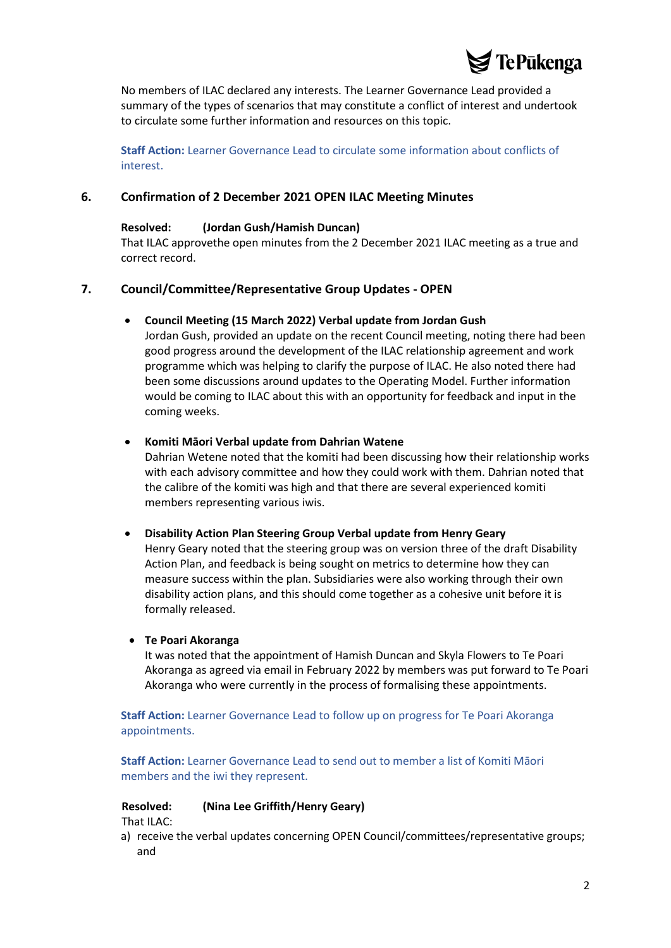

No members of ILAC declared any interests. The Learner Governance Lead provided a summary of the types of scenarios that may constitute a conflict of interest and undertook to circulate some further information and resources on this topic.

**Staff Action:** Learner Governance Lead to circulate some information about conflicts of interest.

# **6. Confirmation of 2 December 2021 OPEN ILAC Meeting Minutes**

#### **Resolved: (Jordan Gush/Hamish Duncan)**

That ILAC approvethe open minutes from the 2 December 2021 ILAC meeting as a true and correct record.

# **7. Council/Committee/Representative Group Updates - OPEN**

#### • **Council Meeting (15 March 2022) Verbal update from Jordan Gush**

Jordan Gush, provided an update on the recent Council meeting, noting there had been good progress around the development of the ILAC relationship agreement and work programme which was helping to clarify the purpose of ILAC. He also noted there had been some discussions around updates to the Operating Model. Further information would be coming to ILAC about this with an opportunity for feedback and input in the coming weeks.

### • **Komiti Māori Verbal update from Dahrian Watene**

Dahrian Wetene noted that the komiti had been discussing how their relationship works with each advisory committee and how they could work with them. Dahrian noted that the calibre of the komiti was high and that there are several experienced komiti members representing various iwis.

#### • **Disability Action Plan Steering Group Verbal update from Henry Geary**

Henry Geary noted that the steering group was on version three of the draft Disability Action Plan, and feedback is being sought on metrics to determine how they can measure success within the plan. Subsidiaries were also working through their own disability action plans, and this should come together as a cohesive unit before it is formally released.

#### • **Te Poari Akoranga**

It was noted that the appointment of Hamish Duncan and Skyla Flowers to Te Poari Akoranga as agreed via email in February 2022 by members was put forward to Te Poari Akoranga who were currently in the process of formalising these appointments.

**Staff Action:** Learner Governance Lead to follow up on progress for Te Poari Akoranga appointments.

**Staff Action:** Learner Governance Lead to send out to member a list of Komiti Māori members and the iwi they represent.

### **Resolved: (Nina Lee Griffith/Henry Geary)**

That ILAC:

a) receive the verbal updates concerning OPEN Council/committees/representative groups; and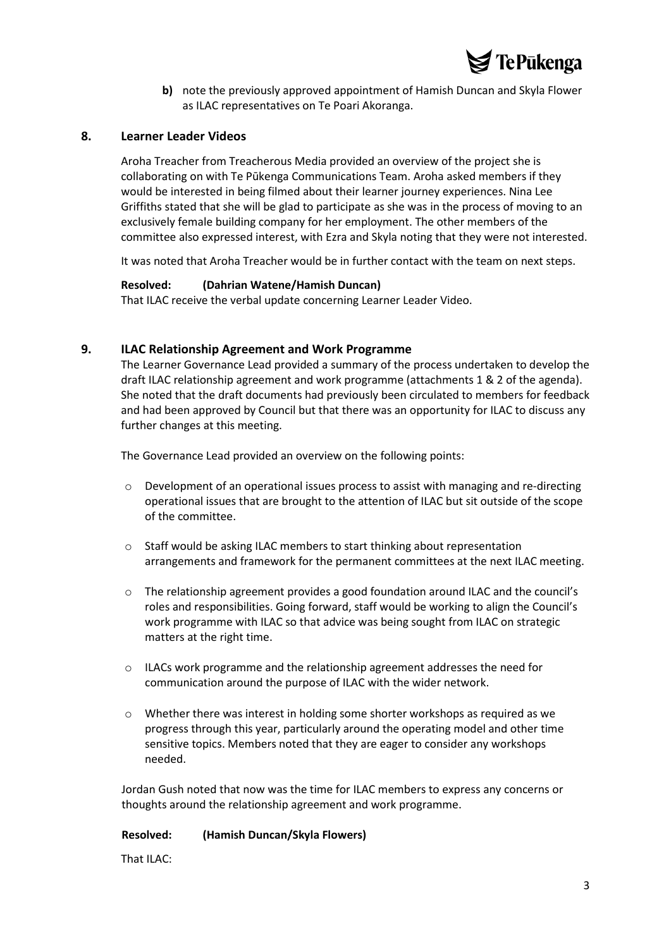

**b)** note the previously approved appointment of Hamish Duncan and Skyla Flower as ILAC representatives on Te Poari Akoranga.

# **8. Learner Leader Videos**

Aroha Treacher from Treacherous Media provided an overview of the project she is collaborating on with Te Pūkenga Communications Team. Aroha asked members if they would be interested in being filmed about their learner journey experiences. Nina Lee Griffiths stated that she will be glad to participate as she was in the process of moving to an exclusively female building company for her employment. The other members of the committee also expressed interest, with Ezra and Skyla noting that they were not interested.

It was noted that Aroha Treacher would be in further contact with the team on next steps.

### **Resolved: (Dahrian Watene/Hamish Duncan)**

That ILAC receive the verbal update concerning Learner Leader Video.

# **9. ILAC Relationship Agreement and Work Programme**

The Learner Governance Lead provided a summary of the process undertaken to develop the draft ILAC relationship agreement and work programme (attachments 1 & 2 of the agenda). She noted that the draft documents had previously been circulated to members for feedback and had been approved by Council but that there was an opportunity for ILAC to discuss any further changes at this meeting.

The Governance Lead provided an overview on the following points:

- $\circ$  Development of an operational issues process to assist with managing and re-directing operational issues that are brought to the attention of ILAC but sit outside of the scope of the committee.
- o Staff would be asking ILAC members to start thinking about representation arrangements and framework for the permanent committees at the next ILAC meeting.
- o The relationship agreement provides a good foundation around ILAC and the council's roles and responsibilities. Going forward, staff would be working to align the Council's work programme with ILAC so that advice was being sought from ILAC on strategic matters at the right time.
- o ILACs work programme and the relationship agreement addresses the need for communication around the purpose of ILAC with the wider network.
- $\circ$  Whether there was interest in holding some shorter workshops as required as we progress through this year, particularly around the operating model and other time sensitive topics. Members noted that they are eager to consider any workshops needed.

Jordan Gush noted that now was the time for ILAC members to express any concerns or thoughts around the relationship agreement and work programme.

# **Resolved: (Hamish Duncan/Skyla Flowers)**

That ILAC: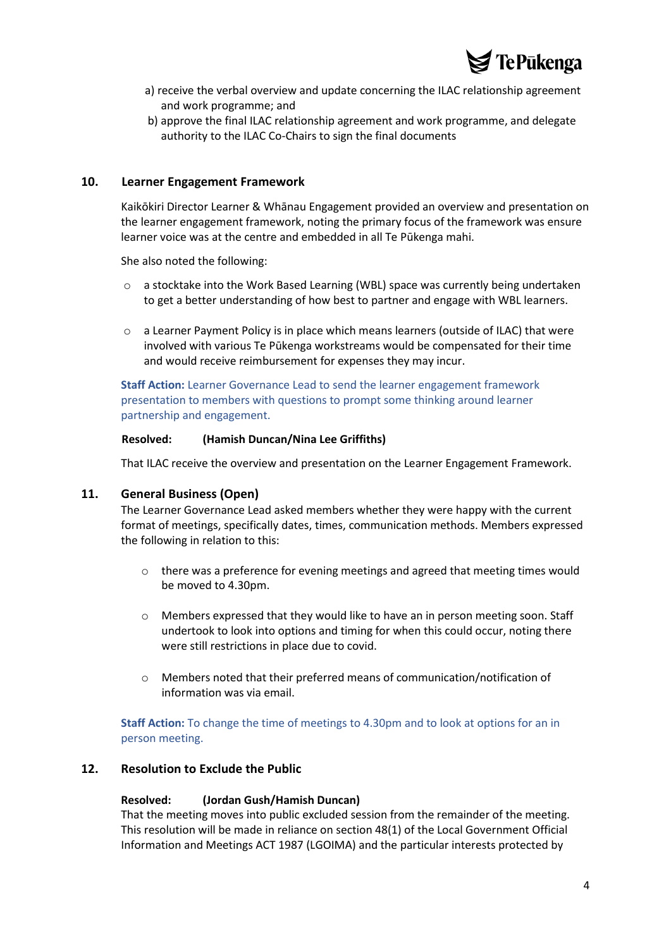

- a) receive the verbal overview and update concerning the ILAC relationship agreement and work programme; and
- b) approve the final ILAC relationship agreement and work programme, and delegate authority to the ILAC Co-Chairs to sign the final documents

## **10. Learner Engagement Framework**

Kaikōkiri Director Learner & Whānau Engagement provided an overview and presentation on the learner engagement framework, noting the primary focus of the framework was ensure learner voice was at the centre and embedded in all Te Pūkenga mahi.

She also noted the following:

- o a stocktake into the Work Based Learning (WBL) space was currently being undertaken to get a better understanding of how best to partner and engage with WBL learners.
- o a Learner Payment Policy is in place which means learners (outside of ILAC) that were involved with various Te Pūkenga workstreams would be compensated for their time and would receive reimbursement for expenses they may incur.

**Staff Action:** Learner Governance Lead to send the learner engagement framework presentation to members with questions to prompt some thinking around learner partnership and engagement.

#### **Resolved: (Hamish Duncan/Nina Lee Griffiths)**

That ILAC receive the overview and presentation on the Learner Engagement Framework.

#### **11. General Business (Open)**

The Learner Governance Lead asked members whether they were happy with the current format of meetings, specifically dates, times, communication methods. Members expressed the following in relation to this:

- $\circ$  there was a preference for evening meetings and agreed that meeting times would be moved to 4.30pm.
- $\circ$  Members expressed that they would like to have an in person meeting soon. Staff undertook to look into options and timing for when this could occur, noting there were still restrictions in place due to covid.
- o Members noted that their preferred means of communication/notification of information was via email.

**Staff Action:** To change the time of meetings to 4.30pm and to look at options for an in person meeting.

# **12. Resolution to Exclude the Public**

#### **Resolved: (Jordan Gush/Hamish Duncan)**

That the meeting moves into public excluded session from the remainder of the meeting. This resolution will be made in reliance on section 48(1) of the Local Government Official Information and Meetings ACT 1987 (LGOIMA) and the particular interests protected by